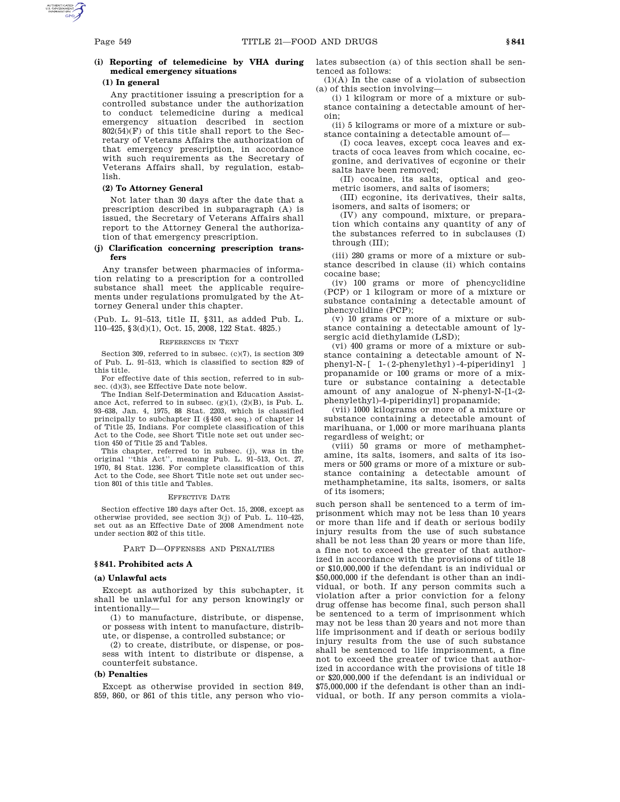# **(i) Reporting of telemedicine by VHA during medical emergency situations**

## **(1) In general**

Any practitioner issuing a prescription for a controlled substance under the authorization to conduct telemedicine during a medical emergency situation described in section  $802(54)(F)$  of this title shall report to the Secretary of Veterans Affairs the authorization of that emergency prescription, in accordance with such requirements as the Secretary of Veterans Affairs shall, by regulation, establish.

# **(2) To Attorney General**

Not later than 30 days after the date that a prescription described in subparagraph (A) is issued, the Secretary of Veterans Affairs shall report to the Attorney General the authorization of that emergency prescription.

# **(j) Clarification concerning prescription transfers**

Any transfer between pharmacies of information relating to a prescription for a controlled substance shall meet the applicable requirements under regulations promulgated by the Attorney General under this chapter.

(Pub. L. 91–513, title II, §311, as added Pub. L. 110–425, §3(d)(1), Oct. 15, 2008, 122 Stat. 4825.)

#### REFERENCES IN TEXT

Section 309, referred to in subsec. (c)(7), is section 309 of Pub. L. 91–513, which is classified to section 829 of this title.

For effective date of this section, referred to in subsec. (d)(3), see Effective Date note below.

The Indian Self-Determination and Education Assistance Act, referred to in subsec. (g)(1), (2)(B), is Pub. L. 93–638, Jan. 4, 1975, 88 Stat. 2203, which is classified principally to subchapter II (§450 et seq.) of chapter 14 of Title 25, Indians. For complete classification of this Act to the Code, see Short Title note set out under section 450 of Title 25 and Tables.

This chapter, referred to in subsec. (j), was in the original ''this Act'', meaning Pub. L. 91–513, Oct. 27, 1970, 84 Stat. 1236. For complete classification of this Act to the Code, see Short Title note set out under section 801 of this title and Tables.

#### EFFECTIVE DATE

Section effective 180 days after Oct. 15, 2008, except as otherwise provided, see section 3(j) of Pub. L. 110–425, set out as an Effective Date of 2008 Amendment note under section 802 of this title.

#### PART D—OFFENSES AND PENALTIES

### **§ 841. Prohibited acts A**

#### **(a) Unlawful acts**

Except as authorized by this subchapter, it shall be unlawful for any person knowingly or intentionally—

(1) to manufacture, distribute, or dispense, or possess with intent to manufacture, distribute, or dispense, a controlled substance; or

(2) to create, distribute, or dispense, or possess with intent to distribute or dispense, a counterfeit substance.

#### **(b) Penalties**

Except as otherwise provided in section 849, 859, 860, or 861 of this title, any person who violates subsection (a) of this section shall be sentenced as follows:

(1)(A) In the case of a violation of subsection (a) of this section involving—

(i) 1 kilogram or more of a mixture or substance containing a detectable amount of heroin;

(ii) 5 kilograms or more of a mixture or substance containing a detectable amount of—

(I) coca leaves, except coca leaves and extracts of coca leaves from which cocaine, ecgonine, and derivatives of ecgonine or their salts have been removed;

(II) cocaine, its salts, optical and geometric isomers, and salts of isomers;

(III) ecgonine, its derivatives, their salts, isomers, and salts of isomers; or

(IV) any compound, mixture, or preparation which contains any quantity of any of the substances referred to in subclauses (I) through (III);

(iii) 280 grams or more of a mixture or substance described in clause (ii) which contains cocaine base;

(iv) 100 grams or more of phencyclidine (PCP) or 1 kilogram or more of a mixture or substance containing a detectable amount of phencyclidine (PCP);

(v) 10 grams or more of a mixture or substance containing a detectable amount of lysergic acid diethylamide (LSD);

(vi) 400 grams or more of a mixture or substance containing a detectable amount of Nphenyl-N-[ 1-(2-phenylethyl)-4-piperidinyl ] propanamide or 100 grams or more of a mixture or substance containing a detectable amount of any analogue of N-phenyl-N-[1-(2 phenylethyl)-4-piperidinyl] propanamide;

(vii) 1000 kilograms or more of a mixture or substance containing a detectable amount of marihuana, or 1,000 or more marihuana plants regardless of weight; or

(viii) 50 grams or more of methamphetamine, its salts, isomers, and salts of its isomers or 500 grams or more of a mixture or substance containing a detectable amount of methamphetamine, its salts, isomers, or salts of its isomers;

such person shall be sentenced to a term of imprisonment which may not be less than 10 years or more than life and if death or serious bodily injury results from the use of such substance shall be not less than 20 years or more than life, a fine not to exceed the greater of that authorized in accordance with the provisions of title 18 or \$10,000,000 if the defendant is an individual or \$50,000,000 if the defendant is other than an individual, or both. If any person commits such a violation after a prior conviction for a felony drug offense has become final, such person shall be sentenced to a term of imprisonment which may not be less than 20 years and not more than life imprisonment and if death or serious bodily injury results from the use of such substance shall be sentenced to life imprisonment, a fine not to exceed the greater of twice that authorized in accordance with the provisions of title 18 or \$20,000,000 if the defendant is an individual or \$75,000,000 if the defendant is other than an individual, or both. If any person commits a viola-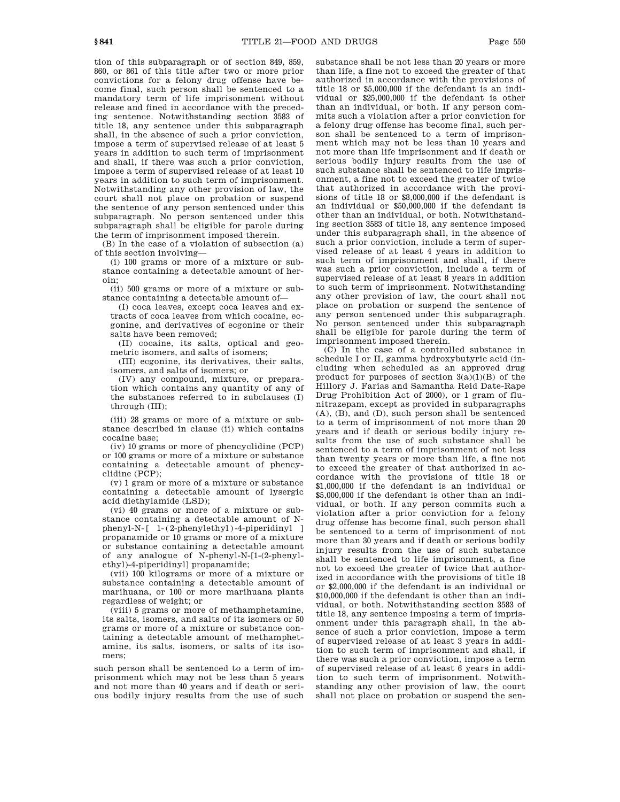tion of this subparagraph or of section 849, 859, 860, or 861 of this title after two or more prior convictions for a felony drug offense have become final, such person shall be sentenced to a mandatory term of life imprisonment without release and fined in accordance with the preceding sentence. Notwithstanding section 3583 of title 18, any sentence under this subparagraph shall, in the absence of such a prior conviction, impose a term of supervised release of at least 5 years in addition to such term of imprisonment and shall, if there was such a prior conviction, impose a term of supervised release of at least 10 years in addition to such term of imprisonment. Notwithstanding any other provision of law, the court shall not place on probation or suspend the sentence of any person sentenced under this subparagraph. No person sentenced under this subparagraph shall be eligible for parole during the term of imprisonment imposed therein.

(B) In the case of a violation of subsection (a) of this section involving—

(i) 100 grams or more of a mixture or substance containing a detectable amount of heroin;

(ii) 500 grams or more of a mixture or substance containing a detectable amount of—

(I) coca leaves, except coca leaves and extracts of coca leaves from which cocaine, ecgonine, and derivatives of ecgonine or their salts have been removed;

(II) cocaine, its salts, optical and geometric isomers, and salts of isomers;

(III) ecgonine, its derivatives, their salts, isomers, and salts of isomers; or

(IV) any compound, mixture, or preparation which contains any quantity of any of the substances referred to in subclauses (I) through (III);

(iii) 28 grams or more of a mixture or substance described in clause (ii) which contains cocaine base;

(iv) 10 grams or more of phencyclidine (PCP) or 100 grams or more of a mixture or substance containing a detectable amount of phencyclidine (PCP);

(v) 1 gram or more of a mixture or substance containing a detectable amount of lysergic acid diethylamide (LSD);

(vi) 40 grams or more of a mixture or substance containing a detectable amount of Nphenyl-N-[ 1-(2-phenylethyl)-4-piperidinyl ] propanamide or 10 grams or more of a mixture or substance containing a detectable amount of any analogue of N-phenyl-N-[1-(2-phenylethyl)-4-piperidinyl] propanamide;

(vii) 100 kilograms or more of a mixture or substance containing a detectable amount of marihuana, or 100 or more marihuana plants regardless of weight; or

(viii) 5 grams or more of methamphetamine, its salts, isomers, and salts of its isomers or 50 grams or more of a mixture or substance containing a detectable amount of methamphetamine, its salts, isomers, or salts of its isomers;

such person shall be sentenced to a term of imprisonment which may not be less than 5 years and not more than 40 years and if death or serious bodily injury results from the use of such

substance shall be not less than 20 years or more than life, a fine not to exceed the greater of that authorized in accordance with the provisions of title 18 or \$5,000,000 if the defendant is an individual or \$25,000,000 if the defendant is other than an individual, or both. If any person commits such a violation after a prior conviction for a felony drug offense has become final, such person shall be sentenced to a term of imprisonment which may not be less than 10 years and not more than life imprisonment and if death or serious bodily injury results from the use of such substance shall be sentenced to life imprisonment, a fine not to exceed the greater of twice that authorized in accordance with the provisions of title 18 or \$8,000,000 if the defendant is an individual or \$50,000,000 if the defendant is other than an individual, or both. Notwithstanding section 3583 of title 18, any sentence imposed under this subparagraph shall, in the absence of such a prior conviction, include a term of supervised release of at least 4 years in addition to such term of imprisonment and shall, if there was such a prior conviction, include a term of supervised release of at least 8 years in addition to such term of imprisonment. Notwithstanding any other provision of law, the court shall not place on probation or suspend the sentence of any person sentenced under this subparagraph. No person sentenced under this subparagraph shall be eligible for parole during the term of imprisonment imposed therein.

(C) In the case of a controlled substance in schedule I or II, gamma hydroxybutyric acid (including when scheduled as an approved drug product for purposes of section  $3(a)(1)(B)$  of the Hillory J. Farias and Samantha Reid Date-Rape Drug Prohibition Act of 2000), or 1 gram of flunitrazepam, except as provided in subparagraphs (A), (B), and (D), such person shall be sentenced to a term of imprisonment of not more than 20 years and if death or serious bodily injury results from the use of such substance shall be sentenced to a term of imprisonment of not less than twenty years or more than life, a fine not to exceed the greater of that authorized in accordance with the provisions of title 18 or \$1,000,000 if the defendant is an individual or \$5,000,000 if the defendant is other than an individual, or both. If any person commits such a violation after a prior conviction for a felony drug offense has become final, such person shall be sentenced to a term of imprisonment of not more than 30 years and if death or serious bodily injury results from the use of such substance shall be sentenced to life imprisonment, a fine not to exceed the greater of twice that authorized in accordance with the provisions of title 18 or \$2,000,000 if the defendant is an individual or \$10,000,000 if the defendant is other than an individual, or both. Notwithstanding section 3583 of title 18, any sentence imposing a term of imprisonment under this paragraph shall, in the absence of such a prior conviction, impose a term of supervised release of at least 3 years in addition to such term of imprisonment and shall, if there was such a prior conviction, impose a term of supervised release of at least 6 years in addition to such term of imprisonment. Notwithstanding any other provision of law, the court shall not place on probation or suspend the sen-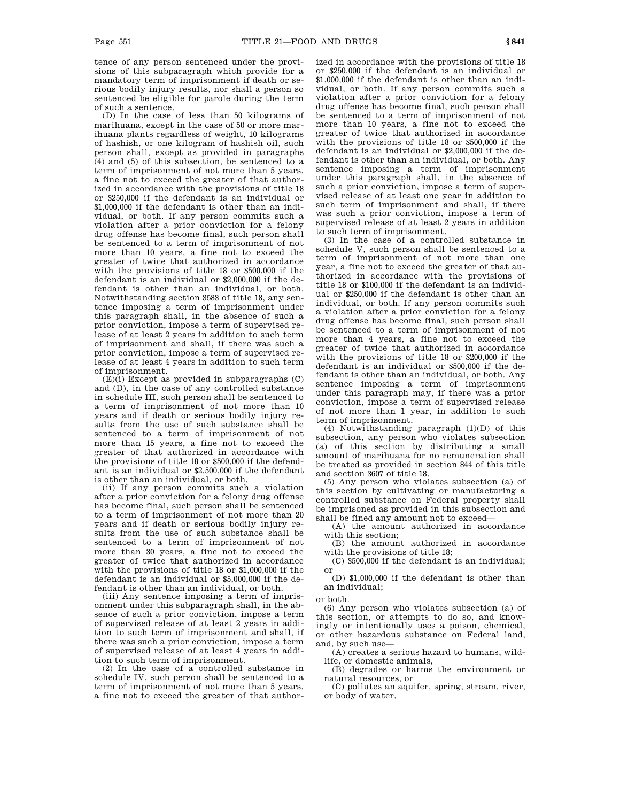tence of any person sentenced under the provisions of this subparagraph which provide for a mandatory term of imprisonment if death or serious bodily injury results, nor shall a person so sentenced be eligible for parole during the term of such a sentence.

(D) In the case of less than 50 kilograms of marihuana, except in the case of 50 or more marihuana plants regardless of weight, 10 kilograms of hashish, or one kilogram of hashish oil, such person shall, except as provided in paragraphs (4) and (5) of this subsection, be sentenced to a term of imprisonment of not more than 5 years, a fine not to exceed the greater of that authorized in accordance with the provisions of title 18 or \$250,000 if the defendant is an individual or \$1,000,000 if the defendant is other than an individual, or both. If any person commits such a violation after a prior conviction for a felony drug offense has become final, such person shall be sentenced to a term of imprisonment of not more than 10 years, a fine not to exceed the greater of twice that authorized in accordance with the provisions of title 18 or \$500,000 if the defendant is an individual or \$2,000,000 if the defendant is other than an individual, or both. Notwithstanding section 3583 of title 18, any sentence imposing a term of imprisonment under this paragraph shall, in the absence of such a prior conviction, impose a term of supervised release of at least 2 years in addition to such term of imprisonment and shall, if there was such a prior conviction, impose a term of supervised release of at least 4 years in addition to such term of imprisonment.

 $(E)(i)$  Except as provided in subparagraphs  $(C)$ and (D), in the case of any controlled substance in schedule III, such person shall be sentenced to a term of imprisonment of not more than 10 years and if death or serious bodily injury results from the use of such substance shall be sentenced to a term of imprisonment of not more than 15 years, a fine not to exceed the greater of that authorized in accordance with the provisions of title 18 or \$500,000 if the defendant is an individual or \$2,500,000 if the defendant is other than an individual, or both.

(ii) If any person commits such a violation after a prior conviction for a felony drug offense has become final, such person shall be sentenced to a term of imprisonment of not more than 20 years and if death or serious bodily injury results from the use of such substance shall be sentenced to a term of imprisonment of not more than 30 years, a fine not to exceed the greater of twice that authorized in accordance with the provisions of title 18 or \$1,000,000 if the defendant is an individual or \$5,000,000 if the defendant is other than an individual, or both.

(iii) Any sentence imposing a term of imprisonment under this subparagraph shall, in the absence of such a prior conviction, impose a term of supervised release of at least 2 years in addition to such term of imprisonment and shall, if there was such a prior conviction, impose a term of supervised release of at least 4 years in addition to such term of imprisonment.

(2) In the case of a controlled substance in schedule IV, such person shall be sentenced to a term of imprisonment of not more than 5 years, a fine not to exceed the greater of that authorized in accordance with the provisions of title 18 or \$250,000 if the defendant is an individual or \$1,000,000 if the defendant is other than an individual, or both. If any person commits such a violation after a prior conviction for a felony drug offense has become final, such person shall be sentenced to a term of imprisonment of not more than 10 years, a fine not to exceed the greater of twice that authorized in accordance with the provisions of title 18 or \$500,000 if the defendant is an individual or \$2,000,000 if the defendant is other than an individual, or both. Any sentence imposing a term of imprisonment under this paragraph shall, in the absence of such a prior conviction, impose a term of supervised release of at least one year in addition to such term of imprisonment and shall, if there was such a prior conviction, impose a term of supervised release of at least 2 years in addition to such term of imprisonment.

(3) In the case of a controlled substance in schedule V, such person shall be sentenced to a term of imprisonment of not more than one year, a fine not to exceed the greater of that authorized in accordance with the provisions of title 18 or \$100,000 if the defendant is an individual or \$250,000 if the defendant is other than an individual, or both. If any person commits such a violation after a prior conviction for a felony drug offense has become final, such person shall be sentenced to a term of imprisonment of not more than 4 years, a fine not to exceed the greater of twice that authorized in accordance with the provisions of title 18 or \$200,000 if the defendant is an individual or \$500,000 if the defendant is other than an individual, or both. Any sentence imposing a term of imprisonment under this paragraph may, if there was a prior conviction, impose a term of supervised release of not more than 1 year, in addition to such term of imprisonment.

(4) Notwithstanding paragraph (1)(D) of this subsection, any person who violates subsection (a) of this section by distributing a small amount of marihuana for no remuneration shall be treated as provided in section 844 of this title and section 3607 of title 18.

(5) Any person who violates subsection (a) of this section by cultivating or manufacturing a controlled substance on Federal property shall be imprisoned as provided in this subsection and shall be fined any amount not to exceed—

(A) the amount authorized in accordance with this section;

(B) the amount authorized in accordance with the provisions of title 18;

(C) \$500,000 if the defendant is an individual; or

(D) \$1,000,000 if the defendant is other than an individual;

or both.

(6) Any person who violates subsection (a) of this section, or attempts to do so, and knowingly or intentionally uses a poison, chemical, or other hazardous substance on Federal land, and, by such use—

(A) creates a serious hazard to humans, wildlife, or domestic animals,

(B) degrades or harms the environment or natural resources, or

(C) pollutes an aquifer, spring, stream, river, or body of water,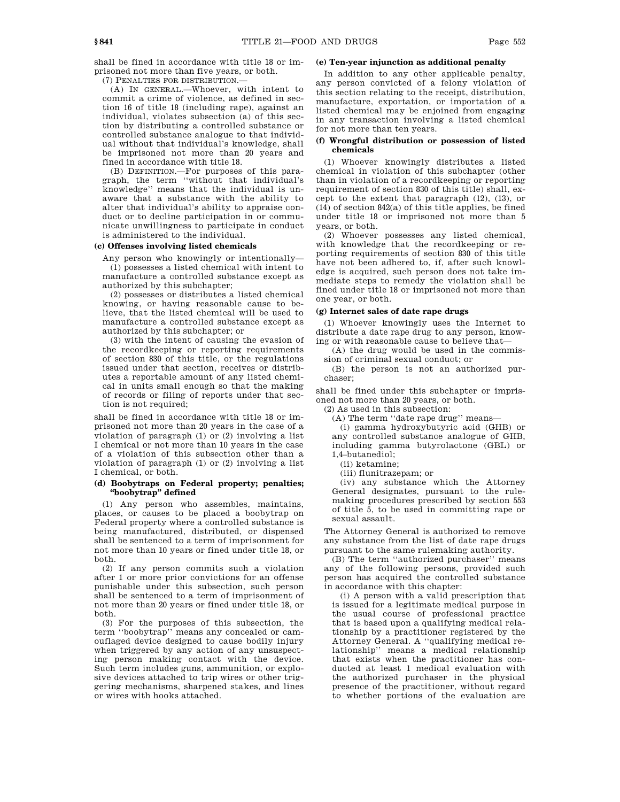shall be fined in accordance with title 18 or imprisoned not more than five years, or both.

(7) PENALTIES FOR DISTRIBUTION.—

(A) IN GENERAL.—Whoever, with intent to commit a crime of violence, as defined in section 16 of title 18 (including rape), against an individual, violates subsection (a) of this section by distributing a controlled substance or controlled substance analogue to that individual without that individual's knowledge, shall be imprisoned not more than 20 years and fined in accordance with title 18.

(B) DEFINITION.—For purposes of this paragraph, the term ''without that individual's knowledge'' means that the individual is unaware that a substance with the ability to alter that individual's ability to appraise conduct or to decline participation in or communicate unwillingness to participate in conduct is administered to the individual.

# **(c) Offenses involving listed chemicals**

Any person who knowingly or intentionally— (1) possesses a listed chemical with intent to manufacture a controlled substance except as authorized by this subchapter;

(2) possesses or distributes a listed chemical knowing, or having reasonable cause to believe, that the listed chemical will be used to manufacture a controlled substance except as authorized by this subchapter; or

(3) with the intent of causing the evasion of the recordkeeping or reporting requirements of section 830 of this title, or the regulations issued under that section, receives or distributes a reportable amount of any listed chemical in units small enough so that the making of records or filing of reports under that section is not required:

shall be fined in accordance with title 18 or imprisoned not more than 20 years in the case of a violation of paragraph (1) or (2) involving a list I chemical or not more than 10 years in the case of a violation of this subsection other than a violation of paragraph (1) or (2) involving a list I chemical, or both.

## **(d) Boobytraps on Federal property; penalties; ''boobytrap'' defined**

(1) Any person who assembles, maintains, places, or causes to be placed a boobytrap on Federal property where a controlled substance is being manufactured, distributed, or dispensed shall be sentenced to a term of imprisonment for not more than 10 years or fined under title 18, or both.

(2) If any person commits such a violation after 1 or more prior convictions for an offense punishable under this subsection, such person shall be sentenced to a term of imprisonment of not more than 20 years or fined under title 18, or both.

(3) For the purposes of this subsection, the term ''boobytrap'' means any concealed or camouflaged device designed to cause bodily injury when triggered by any action of any unsuspecting person making contact with the device. Such term includes guns, ammunition, or explosive devices attached to trip wires or other triggering mechanisms, sharpened stakes, and lines or wires with hooks attached.

# **(e) Ten-year injunction as additional penalty**

In addition to any other applicable penalty, any person convicted of a felony violation of this section relating to the receipt, distribution, manufacture, exportation, or importation of a listed chemical may be enjoined from engaging in any transaction involving a listed chemical for not more than ten years.

## **(f) Wrongful distribution or possession of listed chemicals**

(1) Whoever knowingly distributes a listed chemical in violation of this subchapter (other than in violation of a recordkeeping or reporting requirement of section 830 of this title) shall, except to the extent that paragraph (12), (13), or (14) of section 842(a) of this title applies, be fined under title 18 or imprisoned not more than 5 years, or both.

(2) Whoever possesses any listed chemical, with knowledge that the recordkeeping or reporting requirements of section 830 of this title have not been adhered to, if, after such knowledge is acquired, such person does not take immediate steps to remedy the violation shall be fined under title 18 or imprisoned not more than one year, or both.

# **(g) Internet sales of date rape drugs**

(1) Whoever knowingly uses the Internet to distribute a date rape drug to any person, knowing or with reasonable cause to believe that—

(A) the drug would be used in the commission of criminal sexual conduct; or

(B) the person is not an authorized purchaser;

shall be fined under this subchapter or imprisoned not more than 20 years, or both.

(2) As used in this subsection:

(A) The term ''date rape drug'' means—

(i) gamma hydroxybutyric acid (GHB) or any controlled substance analogue of GHB, including gamma butyrolactone (GBL) or 1,4–butanediol;

(ii) ketamine;

(iii) flunitrazepam; or

(iv) any substance which the Attorney General designates, pursuant to the rulemaking procedures prescribed by section 553 of title 5, to be used in committing rape or sexual assault.

The Attorney General is authorized to remove any substance from the list of date rape drugs pursuant to the same rulemaking authority.

(B) The term ''authorized purchaser'' means any of the following persons, provided such person has acquired the controlled substance in accordance with this chapter:

(i) A person with a valid prescription that is issued for a legitimate medical purpose in the usual course of professional practice that is based upon a qualifying medical relationship by a practitioner registered by the Attorney General. A ''qualifying medical relationship'' means a medical relationship that exists when the practitioner has conducted at least 1 medical evaluation with the authorized purchaser in the physical presence of the practitioner, without regard to whether portions of the evaluation are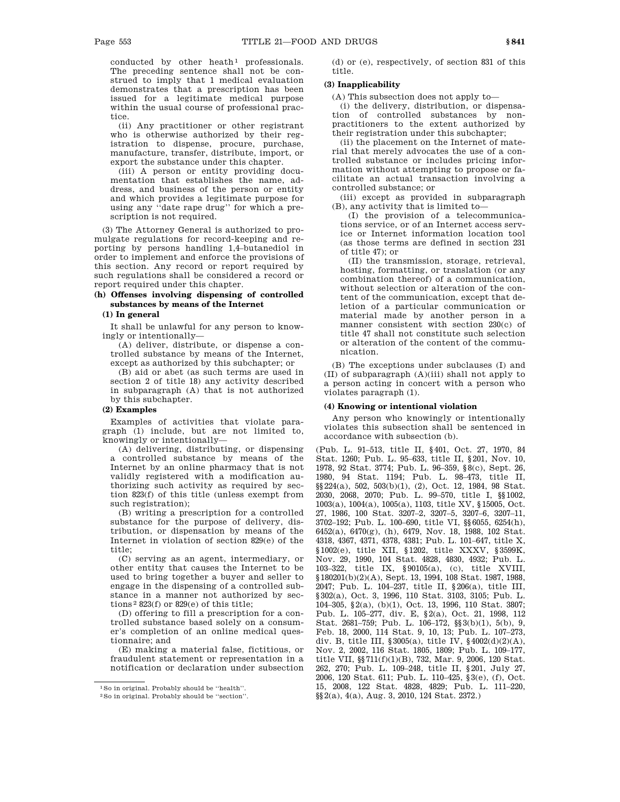conducted by other heath<sup>1</sup> professionals. The preceding sentence shall not be construed to imply that 1 medical evaluation demonstrates that a prescription has been issued for a legitimate medical purpose within the usual course of professional practice.

(ii) Any practitioner or other registrant who is otherwise authorized by their registration to dispense, procure, purchase, manufacture, transfer, distribute, import, or export the substance under this chapter.

(iii) A person or entity providing documentation that establishes the name, address, and business of the person or entity and which provides a legitimate purpose for using any ''date rape drug'' for which a prescription is not required.

(3) The Attorney General is authorized to promulgate regulations for record-keeping and reporting by persons handling 1,4–butanediol in order to implement and enforce the provisions of this section. Any record or report required by such regulations shall be considered a record or report required under this chapter.

# **(h) Offenses involving dispensing of controlled substances by means of the Internet**

## **(1) In general**

It shall be unlawful for any person to knowingly or intentionally—

(A) deliver, distribute, or dispense a controlled substance by means of the Internet, except as authorized by this subchapter; or

(B) aid or abet (as such terms are used in section 2 of title 18) any activity described in subparagraph (A) that is not authorized by this subchapter.

## **(2) Examples**

Examples of activities that violate paragraph (1) include, but are not limited to, knowingly or intentionally—

(A) delivering, distributing, or dispensing a controlled substance by means of the Internet by an online pharmacy that is not validly registered with a modification authorizing such activity as required by section 823(f) of this title (unless exempt from such registration);

(B) writing a prescription for a controlled substance for the purpose of delivery, distribution, or dispensation by means of the Internet in violation of section 829(e) of the title;

(C) serving as an agent, intermediary, or other entity that causes the Internet to be used to bring together a buyer and seller to engage in the dispensing of a controlled substance in a manner not authorized by sections 2 823(f) or 829(e) of this title;

(D) offering to fill a prescription for a controlled substance based solely on a consumer's completion of an online medical questionnaire; and

(E) making a material false, fictitious, or fraudulent statement or representation in a notification or declaration under subsection

(d) or (e), respectively, of section 831 of this title.

# **(3) Inapplicability**

(A) This subsection does not apply to—

(i) the delivery, distribution, or dispensation of controlled substances by nonpractitioners to the extent authorized by their registration under this subchapter;

(ii) the placement on the Internet of material that merely advocates the use of a controlled substance or includes pricing information without attempting to propose or facilitate an actual transaction involving a controlled substance; or

(iii) except as provided in subparagraph (B), any activity that is limited to—

(I) the provision of a telecommunications service, or of an Internet access service or Internet information location tool (as those terms are defined in section 231 of title 47); or

(II) the transmission, storage, retrieval, hosting, formatting, or translation (or any combination thereof) of a communication, without selection or alteration of the content of the communication, except that deletion of a particular communication or material made by another person in a manner consistent with section 230(c) of title 47 shall not constitute such selection or alteration of the content of the communication.

(B) The exceptions under subclauses (I) and (II) of subparagraph (A)(iii) shall not apply to a person acting in concert with a person who violates paragraph (1).

## **(4) Knowing or intentional violation**

Any person who knowingly or intentionally violates this subsection shall be sentenced in accordance with subsection (b).

(Pub. L. 91–513, title II, §401, Oct. 27, 1970, 84 Stat. 1260; Pub. L. 95–633, title II, §201, Nov. 10, 1978, 92 Stat. 3774; Pub. L. 96–359, §8(c), Sept. 26, 1980, 94 Stat. 1194; Pub. L. 98–473, title II, §§224(a), 502, 503(b)(1), (2), Oct. 12, 1984, 98 Stat. 2030, 2068, 2070; Pub. L. 99–570, title I, §§1002, 1003(a), 1004(a), 1005(a), 1103, title XV, §15005, Oct. 27, 1986, 100 Stat. 3207–2, 3207–5, 3207–6, 3207–11, 3702–192; Pub. L. 100–690, title VI, §§6055, 6254(h), 6452(a), 6470(g), (h), 6479, Nov. 18, 1988, 102 Stat. 4318, 4367, 4371, 4378, 4381; Pub. L. 101–647, title X, §1002(e), title XII, §1202, title XXXV, §3599K, Nov. 29, 1990, 104 Stat. 4828, 4830, 4932; Pub. L. 103–322, title IX, §90105(a), (c), title XVIII, §180201(b)(2)(A), Sept. 13, 1994, 108 Stat. 1987, 1988, 2047; Pub. L. 104–237, title II, §206(a), title III, §302(a), Oct. 3, 1996, 110 Stat. 3103, 3105; Pub. L. 104–305, §2(a), (b)(1), Oct. 13, 1996, 110 Stat. 3807; Pub. L. 105–277, div. E, §2(a), Oct. 21, 1998, 112 Stat. 2681–759; Pub. L. 106–172, §§3(b)(1), 5(b), 9, Feb. 18, 2000, 114 Stat. 9, 10, 13; Pub. L. 107–273, div. B, title III, §3005(a), title IV, §4002(d)(2)(A), Nov. 2, 2002, 116 Stat. 1805, 1809; Pub. L. 109–177, title VII, §§711(f)(1)(B), 732, Mar. 9, 2006, 120 Stat. 262, 270; Pub. L. 109–248, title II, §201, July 27, 2006, 120 Stat. 611; Pub. L. 110–425, §3(e), (f), Oct. 15, 2008, 122 Stat. 4828, 4829; Pub. L. 111–220, §§2(a), 4(a), Aug. 3, 2010, 124 Stat. 2372.)

<sup>1</sup>So in original. Probably should be ''health''.

<sup>2</sup>So in original. Probably should be ''section''.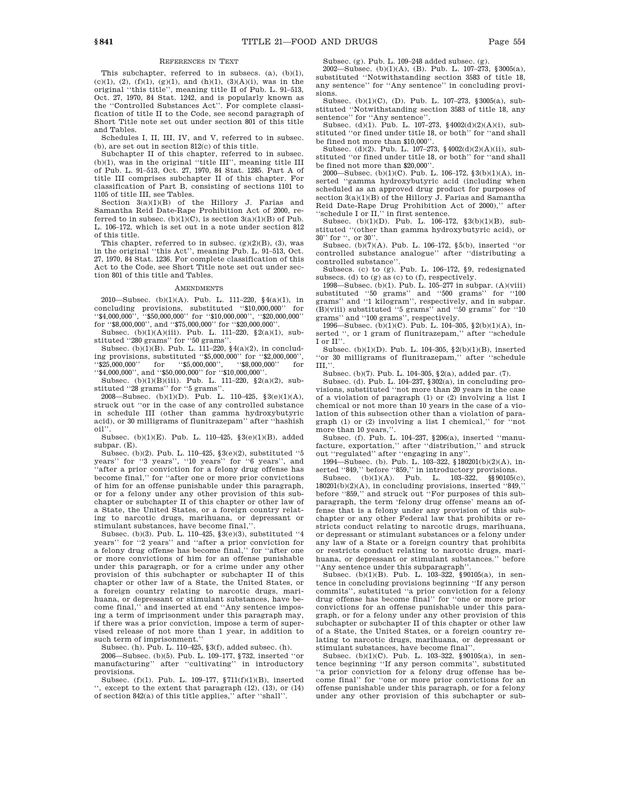#### REFERENCES IN TEXT

This subchapter, referred to in subsecs. (a), (b)(1),  $(c)(1)$ ,  $(2)$ ,  $(f)(1)$ ,  $(g)(1)$ , and  $(h)(1)$ ,  $(3)(A)(i)$ , was in the original ''this title'', meaning title II of Pub. L. 91–513, Oct. 27, 1970, 84 Stat. 1242, and is popularly known as the ''Controlled Substances Act''. For complete classification of title II to the Code, see second paragraph of Short Title note set out under section 801 of this title and Tables.

Schedules I, II, III, IV, and V, referred to in subsec. (b), are set out in section 812(c) of this title.

Subchapter II of this chapter, referred to in subsec. (b)(1), was in the original ''title III'', meaning title III of Pub. L. 91–513, Oct. 27, 1970, 84 Stat. 1285. Part A of title III comprises subchapter II of this chapter. For classification of Part B, consisting of sections 1101 to 1105 of title III, see Tables.

Section 3(a)(1)(B) of the Hillory J. Farias and Samantha Reid Date-Rape Prohibition Act of 2000, referred to in subsec. (b)(1)(C), is section  $3(a)(1)(B)$  of Pub. L. 106–172, which is set out in a note under section 812 of this title.

This chapter, referred to in subsec.  $(g)(2)(B)$ ,  $(3)$ , was in the original ''this Act'', meaning Pub. L. 91–513, Oct. 27, 1970, 84 Stat. 1236. For complete classification of this Act to the Code, see Short Title note set out under section 801 of this title and Tables.

#### **AMENDMENTS**

2010—Subsec. (b)(1)(A). Pub. L. 111–220,  $\S(4(a)(1))$ , in concluding provisions, substituted ''\$10,000,000'' for ''\$4,000,000'', ''\$50,000,000'' for ''\$10,000,000'', ''\$20,000,000'' for "\$8,000,000", and "\$75,000,000" for "\$20,000,000"

Subsec. (b)(1)(A)(iii). Pub. L. 111-220,  $\S$ 2(a)(1), substituted ''280 grams'' for ''50 grams''.

Subsec. (b)(1)(B). Pub. L. 111–220, §4(a)(2), in concluding provisions, substituted ''\$5,000,000'' for ''\$2,000,000'', ''\$25,000,000'' for ''\$5,000,000'', ''\$8,000,000'' for ''\$4,000,000'', and ''\$50,000,000'' for ''\$10,000,000''.

Subsec. (b)(1)(B)(iii). Pub. L. 111–220,  $\S(2a)(2)$ , substituted ''28 grams'' for ''5 grams''.

2008—Subsec. (b)(1)(D). Pub. L. 110–425, §3(e)(1)(A), struck out ''or in the case of any controlled substance in schedule III (other than gamma hydroxybutyric acid), or 30 milligrams of flunitrazepam'' after ''hashish oil''.

Subsec. (b)(1)(E). Pub. L. 110–425, §3(e)(1)(B), added subpar. (E).

Subsec. (b)(2). Pub. L. 110–425, §3(e)(2), substituted ''5 years'' for ''3 years'', ''10 years'' for ''6 years'', and ''after a prior conviction for a felony drug offense has become final,'' for ''after one or more prior convictions of him for an offense punishable under this paragraph, or for a felony under any other provision of this subchapter or subchapter II of this chapter or other law of a State, the United States, or a foreign country relating to narcotic drugs, marihuana, or depressant or stimulant substances, have become final,'

Subsec. (b)(3). Pub. L. 110–425, §3(e)(3), substituted ''4 years'' for ''2 years'' and ''after a prior conviction for a felony drug offense has become final,'' for ''after one or more convictions of him for an offense punishable under this paragraph, or for a crime under any other provision of this subchapter or subchapter II of this chapter or other law of a State, the United States, or a foreign country relating to narcotic drugs, marihuana, or depressant or stimulant substances, have become final,'' and inserted at end ''Any sentence imposing a term of imprisonment under this paragraph may, if there was a prior conviction, impose a term of supervised release of not more than 1 year, in addition to such term of imprisonment.''

Subsec. (h). Pub. L. 110–425,  $\S 3(f)$ , added subsec. (h).

2006—Subsec. (b)(5). Pub. L. 109–177, §732, inserted ''or manufacturing'' after ''cultivating'' in introductory provisions.

Subsec. (f)(1). Pub. L. 109–177, §711(f)(1)(B), inserted '', except to the extent that paragraph (12), (13), or (14) of section 842(a) of this title applies,'' after ''shall''.

Subsec. (g). Pub. L. 109–248 added subsec. (g).

2002—Subsec. (b)(1)(A), (B). Pub. L. 107–273, §3005(a), substituted ''Notwithstanding section 3583 of title 18, any sentence'' for ''Any sentence'' in concluding provisions.

Subsec. (b)(1)(C), (D). Pub. L. 107–273, §3005(a), substituted ''Notwithstanding section 3583 of title 18, any sentence" for "Any sentence".

Subsec. (d)(1). Pub. L. 107-273,  $\frac{6}{9}4002(d)(2)(A)(i)$ , substituted ''or fined under title 18, or both'' for ''and shall be fined not more than \$10,000''.

Subsec. (d)(2). Pub. L. 107–273, §4002(d)(2)(A)(ii), substituted ''or fined under title 18, or both'' for ''and shall be fined not more than \$20,000''.

2000—Subsec. (b)(1)(C). Pub. L. 106–172, §3(b)(1)(A), inserted ''gamma hydroxybutyric acid (including when scheduled as an approved drug product for purposes of section 3(a)(1)(B) of the Hillory J. Farias and Samantha Reid Date-Rape Drug Prohibition Act of 2000),'' after 'schedule I or II," in first sentence.

Subsec. (b)(1)(D). Pub. L. 106–172, §3(b)(1)(B), substituted ''(other than gamma hydroxybutyric acid), or 30'' for '', or 30''.

Subsec. (b)(7)(A). Pub. L. 106–172, §5(b), inserted ''or controlled substance analogue'' after ''distributing a controlled substance''.

Subsecs. (c) to (g). Pub. L. 106–172, §9, redesignated subsecs. (d) to (g) as (c) to (f), respectively.

1998—Subsec. (b)(1). Pub. L. 105–277 in subpar. (A)(viii) substituted ''50 grams'' and ''500 grams'' for ''100 grams'' and ''1 kilogram'', respectively, and in subpar. (B)(viii) substituted ''5 grams'' and ''50 grams'' for ''10

grams'' and ''100 grams'', respectively. 1996—Subsec. (b)(1)(C). Pub. L. 104–305, §2(b)(1)(A), inserted '', or 1 gram of flunitrazepam,'' after ''schedule I or II''.

Subsec. (b)(1)(D). Pub. L. 104–305, §2(b)(1)(B), inserted ''or 30 milligrams of flunitrazepam,'' after ''schedule III,''.

Subsec. (b)(7). Pub. L. 104–305, §2(a), added par. (7).

Subsec. (d). Pub. L. 104–237, §302(a), in concluding provisions, substituted ''not more than 20 years in the case of a violation of paragraph (1) or (2) involving a list I chemical or not more than 10 years in the case of a violation of this subsection other than a violation of paragraph (1) or (2) involving a list I chemical,'' for ''not more than 10 years,'

Subsec. (f). Pub. L. 104–237, §206(a), inserted ''manufacture, exportation,'' after ''distribution,'' and struck out ''regulated'' after ''engaging in any''.

1994—Subsec. (b). Pub. L. 103–322, §180201(b)(2)(A), inserted ''849,'' before ''859,'' in introductory provisions.

 ${\tt Subsec.} \quad {\rm (b)} (1) {\rm (A)}. \quad {\tt Pub.} \quad {\tt L.} \quad 103–322, \quad \S\$\,90105 {\rm (c)},$  $180201(b)(2)(A)$ , in concluding provisions, inserted "849, before ''859,'' and struck out ''For purposes of this subparagraph, the term 'felony drug offense' means an offense that is a felony under any provision of this subchapter or any other Federal law that prohibits or restricts conduct relating to narcotic drugs, marihuana, or depressant or stimulant substances or a felony under any law of a State or a foreign country that prohibits or restricts conduct relating to narcotic drugs, marihuana, or depressant or stimulant substances.'' before 'Any sentence under this subparagraph''

Subsec. (b)(1)(B). Pub. L. 103-322, §90105(a), in sentence in concluding provisions beginning ''If any person commits'', substituted ''a prior conviction for a felony drug offense has become final'' for ''one or more prior convictions for an offense punishable under this paragraph, or for a felony under any other provision of this subchapter or subchapter II of this chapter or other law of a State, the United States, or a foreign country relating to narcotic drugs, marihuana, or depressant or stimulant substances, have become final''.

Subsec. (b)(1)(C). Pub. L. 103–322, §90105(a), in sentence beginning ''If any person commits'', substituted ''a prior conviction for a felony drug offense has become final'' for ''one or more prior convictions for an offense punishable under this paragraph, or for a felony under any other provision of this subchapter or sub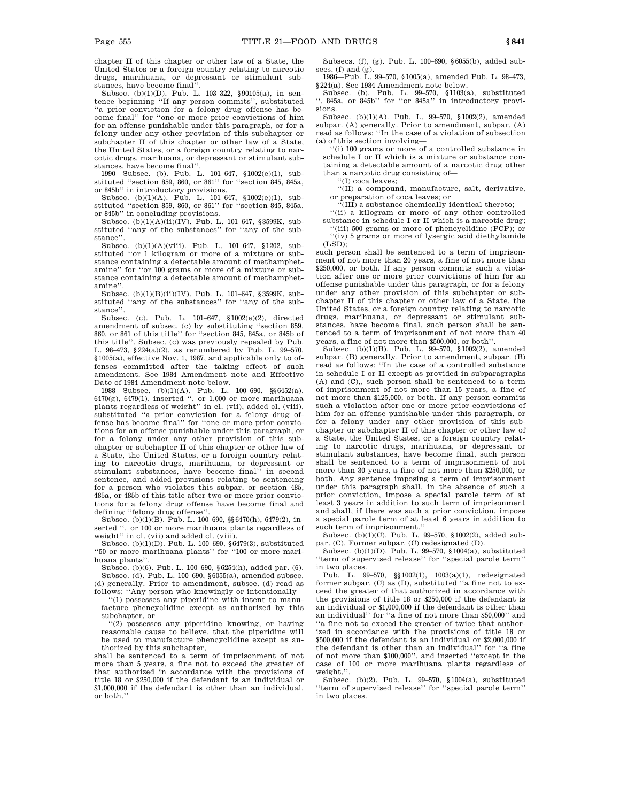chapter II of this chapter or other law of a State, the United States or a foreign country relating to narcotic drugs, marihuana, or depressant or stimulant substances, have become final''.

Subsec. (b)(1)(D). Pub. L. 103–322, §90105(a), in sentence beginning ''If any person commits'', substituted ''a prior conviction for a felony drug offense has become final'' for ''one or more prior convictions of him for an offense punishable under this paragraph, or for a felony under any other provision of this subchapter or subchapter II of this chapter or other law of a State, the United States, or a foreign country relating to narcotic drugs, marihuana, or depressant or stimulant substances, have become final''.

1990—Subsec. (b). Pub. L. 101–647, §1002(e)(1), substituted ''section 859, 860, or 861'' for ''section 845, 845a, or 845b'' in introductory provisions.

Subsec. (b)(1)(A). Pub. L. 101–647, §1002(e)(1), substituted ''section 859, 860, or 861'' for ''section 845, 845a, or 845b'' in concluding provisions.

Subsec.  $(b)(1)(A)(ii)(IV)$ . Pub. L. 101-647, §3599K, substituted ''any of the substances'' for ''any of the substance''.

Subsec. (b)(1)(A)(viii). Pub. L. 101–647, §1202, substituted ''or 1 kilogram or more of a mixture or substance containing a detectable amount of methamphetamine'' for ''or 100 grams or more of a mixture or substance containing a detectable amount of methamphetamine''.

Subsec. (b)(1)(B)(ii)(IV). Pub. L. 101–647, §3599K, substituted ''any of the substances'' for ''any of the substance''.

Subsec. (c). Pub. L. 101–647, §1002(e)(2), directed amendment of subsec. (c) by substituting ''section 859, 860, or 861 of this title'' for ''section 845, 845a, or 845b of this title''. Subsec. (c) was previously repealed by Pub. L. 98–473, §224(a)(2), as renumbered by Pub. L. 99–570, §1005(a), effective Nov. 1, 1987, and applicable only to offenses committed after the taking effect of such amendment. See 1984 Amendment note and Effective Date of 1984 Amendment note below.

1988—Subsec. (b)(1)(A). Pub. L. 100–690, §§6452(a), 6470(g), 6479(1), inserted '', or 1,000 or more marihuana plants regardless of weight'' in cl. (vii), added cl. (viii), substituted ''a prior conviction for a felony drug offense has become final'' for ''one or more prior convictions for an offense punishable under this paragraph, or for a felony under any other provision of this subchapter or subchapter II of this chapter or other law of a State, the United States, or a foreign country relating to narcotic drugs, marihuana, or depressant or stimulant substances, have become final'' in second sentence, and added provisions relating to sentencing for a person who violates this subpar. or section 485, 485a, or 485b of this title after two or more prior convictions for a felony drug offense have become final and defining ''felony drug offense''.

Subsec. (b)(1)(B). Pub. L. 100–690, §§6470(h), 6479(2), inserted ", or 100 or more marihuana plants regardless of weight'' in cl. (vii) and added cl. (viii).

Subsec. (b)(1)(D). Pub. L. 100–690,  $\S 6479(3),$  substituted ''50 or more marihuana plants'' for ''100 or more marihuana plants''.

Subsec. (b)(6). Pub. L. 100–690, §6254(h), added par. (6). Subsec. (d). Pub. L. 100–690, §6055(a), amended subsec. (d) generally. Prior to amendment, subsec. (d) read as

follows: ''Any person who knowingly or intentionally— ''(1) possesses any piperidine with intent to manufacture phencyclidine except as authorized by this subchapter, or

''(2) possesses any piperidine knowing, or having reasonable cause to believe, that the piperidine will be used to manufacture phencyclidine except as authorized by this subchapter,

shall be sentenced to a term of imprisonment of not more than 5 years, a fine not to exceed the greater of that authorized in accordance with the provisions of title 18 or \$250,000 if the defendant is an individual or \$1,000,000 if the defendant is other than an individual, or both.''

Subsecs. (f), (g). Pub. L. 100–690, §6055(b), added subsecs. (f) and (g).

1986—Pub. L. 99–570, §1005(a), amended Pub. L. 98–473, §224(a). See 1984 Amendment note below.

Subsec. (b). Pub. L. 99–570, §1103(a), substituted '', 845a, or 845b'' for ''or 845a'' in introductory provisions.

Subsec. (b)(1)(A). Pub. L. 99–570, §1002(2), amended subpar. (A) generally. Prior to amendment, subpar. (A) read as follows: ''In the case of a violation of subsection (a) of this section involving—

''(i) 100 grams or more of a controlled substance in schedule I or II which is a mixture or substance containing a detectable amount of a narcotic drug other than a narcotic drug consisting of—

''(I) coca leaves;

''(II) a compound, manufacture, salt, derivative, or preparation of coca leaves; or

''(III) a substance chemically identical thereto;

''(ii) a kilogram or more of any other controlled substance in schedule I or II which is a narcotic drug;

(iii) 500 grams or more of phencyclidine (PCP); or ''(iv) 5 grams or more of lysergic acid diethylamide  $(LSD)$ ;

such person shall be sentenced to a term of imprisonment of not more than 20 years, a fine of not more than \$250,000, or both. If any person commits such a violation after one or more prior convictions of him for an offense punishable under this paragraph, or for a felony under any other provision of this subchapter or subchapter II of this chapter or other law of a State, the United States, or a foreign country relating to narcotic drugs, marihuana, or depressant or stimulant substances, have become final, such person shall be sentenced to a term of imprisonment of not more than 40 years, a fine of not more than \$500,000, or both''.

Subsec. (b)(1)(B). Pub. L. 99–570, §1002(2), amended subpar. (B) generally. Prior to amendment, subpar. (B) read as follows: ''In the case of a controlled substance in schedule I or II except as provided in subparagraphs (A) and (C),, such person shall be sentenced to a term of imprisonment of not more than 15 years, a fine of not more than \$125,000, or both. If any person commits such a violation after one or more prior convictions of him for an offense punishable under this paragraph, or for a felony under any other provision of this subchapter or subchapter II of this chapter or other law of a State, the United States, or a foreign country relating to narcotic drugs, marihuana, or depressant or stimulant substances, have become final, such person shall be sentenced to a term of imprisonment of not more than 30 years, a fine of not more than \$250,000, or both. Any sentence imposing a term of imprisonment under this paragraph shall, in the absence of such a prior conviction, impose a special parole term of at least 3 years in addition to such term of imprisonment and shall, if there was such a prior conviction, impose a special parole term of at least 6 years in addition to such term of imprisonment.''

Subsec. (b)(1)(C). Pub. L. 99–570, §1002(2), added subpar. (C). Former subpar. (C) redesignated (D).

Subsec. (b)(1)(D). Pub. L. 99–570, §1004(a), substituted ''term of supervised release'' for ''special parole term'' in two places.

Pub. L. 99–570, §§1002(1), 1003(a)(1), redesignated former subpar. (C) as (D), substituted ''a fine not to exceed the greater of that authorized in accordance with the provisions of title 18 or \$250,000 if the defendant is an individual or \$1,000,000 if the defendant is other than an individual'' for ''a fine of not more than \$50,000'' and ''a fine not to exceed the greater of twice that authorized in accordance with the provisions of title 18 or \$500,000 if the defendant is an individual or \$2,000,000 if the defendant is other than an individual'' for ''a fine of not more than \$100,000'', and inserted ''except in the case of 100 or more marihuana plants regardless of weight,''.

Subsec. (b)(2). Pub. L. 99–570, §1004(a), substituted ''term of supervised release'' for ''special parole term'' in two places.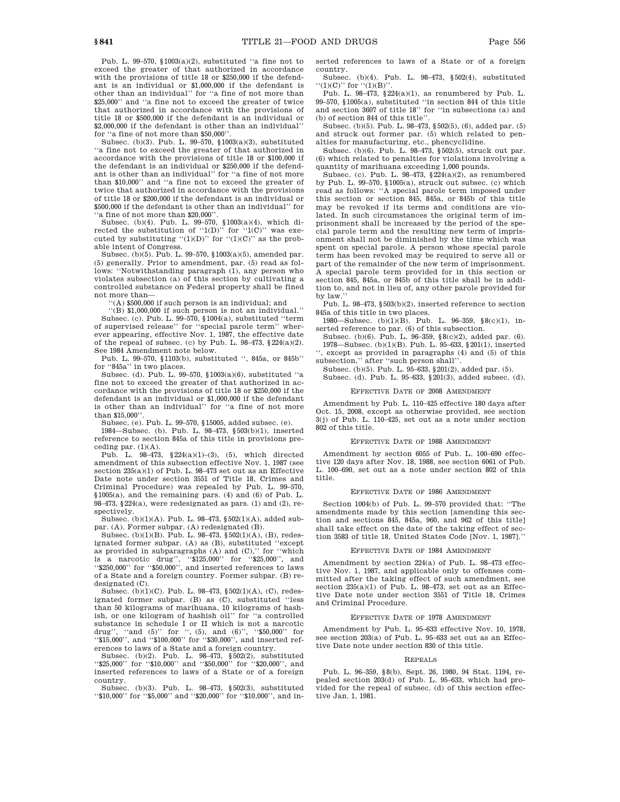Pub. L. 99–570, §1003(a)(2), substituted ''a fine not to exceed the greater of that authorized in accordance with the provisions of title 18 or \$250,000 if the defendant is an individual or \$1,000,000 if the defendant is other than an individual'' for ''a fine of not more than \$25,000'' and ''a fine not to exceed the greater of twice that authorized in accordance with the provisions of title 18 or \$500,000 if the defendant is an individual or \$2,000,000 if the defendant is other than an individual'' for "a fine of not more than \$50,000".

Subsec. (b)(3). Pub. L. 99–570, §1003(a)(3), substituted ''a fine not to exceed the greater of that authorized in accordance with the provisions of title 18 or \$100,000 if the defendant is an individual or \$250,000 if the defendant is other than an individual'' for ''a fine of not more than \$10,000'' and ''a fine not to exceed the greater of twice that authorized in accordance with the provisions of title 18 or \$200,000 if the defendant is an individual or \$500,000 if the defendant is other than an individual'' for ''a fine of not more than \$20,000''.

Subsec. (b)(4). Pub. L. 99–570, §1003(a)(4), which directed the substitution of " $1(D)$ " for " $1(C)$ " was executed by substituting " $(1)(D)$ " for " $(1)(C)$ " as the probable intent of Congress.

Subsec. (b)(5). Pub. L. 99–570, §1003(a)(5), amended par. (5) generally. Prior to amendment, par. (5) read as follows: ''Notwithstanding paragraph (1), any person who violates subsection (a) of this section by cultivating a controlled substance on Federal property shall be fined not more than—

'(A) \$500,000 if such person is an individual; and

''(B) \$1,000,000 if such person is not an individual.'' Subsec. (c). Pub. L. 99–570, §1004(a), substituted ''term of supervised release'' for ''special parole term'' wherever appearing, effective Nov. 1, 1987, the effective date of the repeal of subsec. (c) by Pub. L.  $98-473$ ,  $224(a)(2)$ . See 1984 Amendment note below.

Pub. L. 99–570, §1103(b), substituted '', 845a, or 845b'' for "845a" in two places.

Subsec. (d). Pub. L. 99–570, §1003(a)(6), substituted ''a fine not to exceed the greater of that authorized in accordance with the provisions of title 18 or \$250,000 if the defendant is an individual or \$1,000,000 if the defendant is other than an individual'' for ''a fine of not more than \$15,000''.

Subsec. (e). Pub. L. 99–570, §15005, added subsec. (e).

1984—Subsec. (b). Pub. L. 98–473, §503(b)(1), inserted reference to section 845a of this title in provisions preceding par. (1)(A).

Pub. L.  $98-473$ ,  $$224(a)(1)-(3)$ , (5), which directed amendment of this subsection effective Nov. 1, 1987 (see section  $235(a)(1)$  of Pub. L. 98-473 set out as an Effective Date note under section 3551 of Title 18, Crimes and Criminal Procedure) was repealed by Pub. L. 99–570, §1005(a), and the remaining pars. (4) and (6) of Pub. L. 98–473,  $§224(a)$ , were redesignated as pars. (1) and (2), respectively.

Subsec. (b)(1)(A). Pub. L. 98–473, §502(1)(A), added sub-

par. (A). Former subpar. (A) redesignated (B). Subsec. (b)(1)(B). Pub. L. 98–473, §502(1)(A), (B), redesignated former subpar. (A) as (B), substituted ''except as provided in subparagraphs (A) and (C),'' for ''which is a narcotic drug'', ''\$125,000'' for ''\$25,000'', and ''\$250,000'' for ''\$50,000'', and inserted references to laws of a State and a foreign country. Former subpar. (B) redesignated (C).

Subsec. (b)(1)(C). Pub. L. 98–473, §502(1)(A), (C), redesignated former subpar. (B) as (C), substituted ''less than 50 kilograms of marihuana, 10 kilograms of hashish, or one kilogram of hashish oil'' for ''a controlled substance in schedule I or II which is not a narcotic drug'', ''and (5)'' for '', (5), and (6)'', ''\$50,000'' for ''\$15,000'', and ''\$100,000'' for ''\$30,000'', and inserted references to laws of a State and a foreign country. Subsec. (b)(2). Pub. L. 98–473, §502(2), substituted

''\$25,000'' for ''\$10,000'' and ''\$50,000'' for ''\$20,000'', and inserted references to laws of a State or of a foreign country.

Subsec. (b)(3). Pub. L. 98–473, §502(3), substituted ''\$10,000'' for ''\$5,000'' and ''\$20,000'' for ''\$10,000'', and inserted references to laws of a State or of a foreign country.

Subsec. (b)(4). Pub. L. 98–473, §502(4), substituted  $'(1)(C)''$  for  $''(1)(B)''$ .

Pub. L. 98–473, §224(a)(1), as renumbered by Pub. L. 99–570, §1005(a), substituted ''in section 844 of this title and section 3607 of title 18'' for ''in subsections (a) and (b) of section 844 of this title''.

Subsec. (b)(5). Pub. L. 98–473, §502(5), (6), added par. (5) and struck out former par. (5) which related to penalties for manufacturing, etc., phencyclidine.

Subsec. (b)(6). Pub. L. 98–473, §502(5), struck out par. (6) which related to penalties for violations involving a quantity of marihuana exceeding 1,000 pounds.

Subsec. (c). Pub. L. 98–473, §224(a)(2), as renumbered by Pub. L. 99–570, §1005(a), struck out subsec. (c) which read as follows: ''A special parole term imposed under this section or section 845, 845a, or 845b of this title may be revoked if its terms and conditions are violated. In such circumstances the original term of imprisonment shall be increased by the period of the special parole term and the resulting new term of imprisonment shall not be diminished by the time which was spent on special parole. A person whose special parole term has been revoked may be required to serve all or part of the remainder of the new term of imprisonment. A special parole term provided for in this section or section 845, 845a, or 845b of this title shall be in addition to, and not in lieu of, any other parole provided for by law.

Pub. L. 98-473, §503(b)(2), inserted reference to section 845a of this title in two places.

1980—Subsec. (b)(1)(B). Pub. L. 96–359, §8(c)(1), inserted reference to par. (6) of this subsection.

Subsec. (b)(6). Pub. L. 96–359, §8(c)(2), added par. (6). 1978—Subsec. (b)(1)(B). Pub. L. 95–633, §201(1), inserted '', except as provided in paragraphs (4) and (5) of this

subsection,'' after ''such person shall''. Subsec. (b)(5). Pub. L. 95–633, §201(2), added par. (5).

Subsec. (d). Pub. L. 95–633, §201(3), added subsec. (d).

## EFFECTIVE DATE OF 2008 AMENDMENT

Amendment by Pub. L. 110–425 effective 180 days after Oct. 15, 2008, except as otherwise provided, see section 3(j) of Pub. L. 110–425, set out as a note under section 802 of this title.

#### EFFECTIVE DATE OF 1988 AMENDMENT

Amendment by section 6055 of Pub. L. 100–690 effective 120 days after Nov. 18, 1988, see section 6061 of Pub. L. 100–690, set out as a note under section 802 of this title.

#### EFFECTIVE DATE OF 1986 AMENDMENT

Section 1004(b) of Pub. L. 99–570 provided that: ''The amendments made by this section [amending this section and sections 845, 845a, 960, and 962 of this title] shall take effect on the date of the taking effect of section 3583 of title 18, United States Code [Nov. 1, 1987].''

### EFFECTIVE DATE OF 1984 AMENDME

Amendment by section 224(a) of Pub. L. 98–473 effective Nov. 1, 1987, and applicable only to offenses committed after the taking effect of such amendment, see section  $235(a)(1)$  of Pub. L.  $98-473$ , set out as an Effective Date note under section 3551 of Title 18, Crimes and Criminal Procedure.

## EFFECTIVE DATE OF 1978 AMENDMENT

Amendment by Pub. L. 95–633 effective Nov. 10, 1978, see section 203(a) of Pub. L. 95–633 set out as an Effective Date note under section 830 of this title.

#### REPEALS

Pub. L. 96–359, §8(b), Sept. 26, 1980, 94 Stat. 1194, repealed section 203(d) of Pub. L. 95–633, which had provided for the repeal of subsec. (d) of this section effective Jan. 1, 1981.